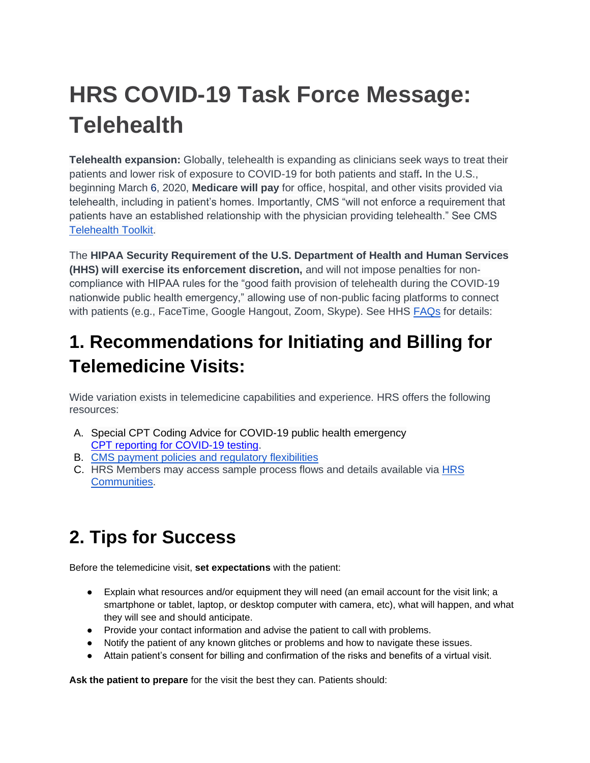# **HRS COVID-19 Task Force Message: Telehealth**

**Telehealth expansion:** Globally, telehealth is expanding as clinicians seek ways to treat their patients and lower risk of exposure to COVID-19 for both patients and staff**.** In the U.S., beginning March 6, 2020, **Medicare will pay** for office, hospital, and other visits provided via telehealth, including in patient's homes. Importantly, CMS "will not enforce a requirement that patients have an established relationship with the physician providing telehealth." See CMS [Telehealth Toolkit.](https://www.cms.gov/files/document/general-telemedicine-toolkit.pdf)

The **HIPAA Security Requirement of the U.S. Department of Health and Human Services (HHS) will exercise its enforcement discretion,** and will not impose penalties for noncompliance with HIPAA rules for the "good faith provision of telehealth during the COVID-19 nationwide public health emergency," allowing use of non-public facing platforms to connect with patients (e.g., FaceTime, Google Hangout, Zoom, Skype). See HHS [FAQs](https://www.hhs.gov/sites/default/files/telehealth-faqs-508.pdf) for details:

### **1. Recommendations for Initiating and Billing for Telemedicine Visits:**

Wide variation exists in telemedicine capabilities and experience. HRS offers the following resources:

- A. Special CPT Coding Advice for COVID-19 public health emergency [CPT reporting for COVID-19 testing.](https://www.ama-assn.org/system/files/2020-03/cpt-reporting-covid-19-testing.pdf)
- B. [CMS payment policies and regulatory flexibilities](https://www.ama-assn.org/delivering-care/public-health/cms-payment-policies-regulatory-flexibilities-during-covid-19)
- C. HRS Members may access sample process flows and details available via [HRS](https://communities.hrsonline.org/)  [Communities.](https://communities.hrsonline.org/)

## **2. Tips for Success**

Before the telemedicine visit, **set expectations** with the patient:

- Explain what resources and/or equipment they will need (an email account for the visit link; a smartphone or tablet, laptop, or desktop computer with camera, etc), what will happen, and what they will see and should anticipate.
- Provide your contact information and advise the patient to call with problems.
- Notify the patient of any known glitches or problems and how to navigate these issues.
- Attain patient's consent for billing and confirmation of the risks and benefits of a virtual visit.

**Ask the patient to prepare** for the visit the best they can. Patients should: